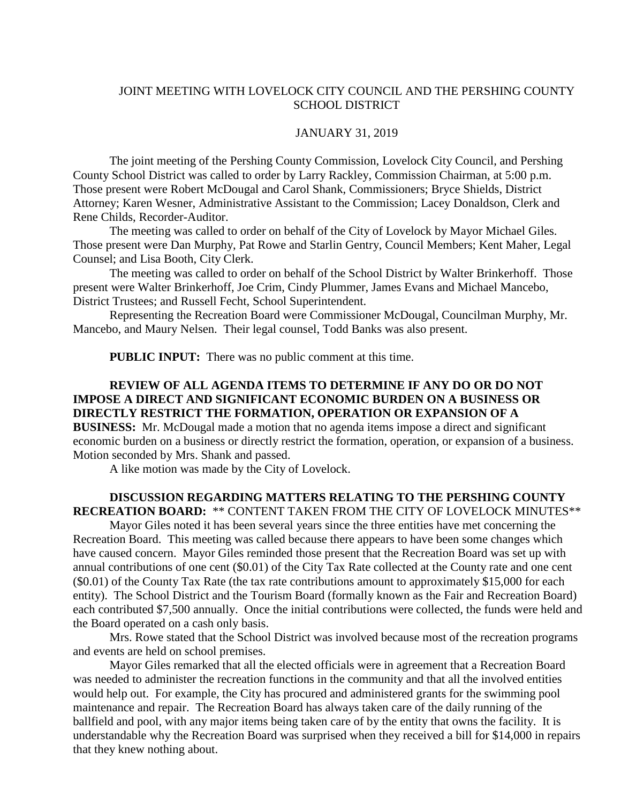## JOINT MEETING WITH LOVELOCK CITY COUNCIL AND THE PERSHING COUNTY SCHOOL DISTRICT

## JANUARY 31, 2019

The joint meeting of the Pershing County Commission, Lovelock City Council, and Pershing County School District was called to order by Larry Rackley, Commission Chairman, at 5:00 p.m. Those present were Robert McDougal and Carol Shank, Commissioners; Bryce Shields, District Attorney; Karen Wesner, Administrative Assistant to the Commission; Lacey Donaldson, Clerk and Rene Childs, Recorder-Auditor.

The meeting was called to order on behalf of the City of Lovelock by Mayor Michael Giles. Those present were Dan Murphy, Pat Rowe and Starlin Gentry, Council Members; Kent Maher, Legal Counsel; and Lisa Booth, City Clerk.

The meeting was called to order on behalf of the School District by Walter Brinkerhoff. Those present were Walter Brinkerhoff, Joe Crim, Cindy Plummer, James Evans and Michael Mancebo, District Trustees; and Russell Fecht, School Superintendent.

Representing the Recreation Board were Commissioner McDougal, Councilman Murphy, Mr. Mancebo, and Maury Nelsen. Their legal counsel, Todd Banks was also present.

**PUBLIC INPUT:** There was no public comment at this time.

## **REVIEW OF ALL AGENDA ITEMS TO DETERMINE IF ANY DO OR DO NOT IMPOSE A DIRECT AND SIGNIFICANT ECONOMIC BURDEN ON A BUSINESS OR DIRECTLY RESTRICT THE FORMATION, OPERATION OR EXPANSION OF A**

**BUSINESS:** Mr. McDougal made a motion that no agenda items impose a direct and significant economic burden on a business or directly restrict the formation, operation, or expansion of a business. Motion seconded by Mrs. Shank and passed.

A like motion was made by the City of Lovelock.

## **DISCUSSION REGARDING MATTERS RELATING TO THE PERSHING COUNTY RECREATION BOARD:** \*\* CONTENT TAKEN FROM THE CITY OF LOVELOCK MINUTES\*\*

Mayor Giles noted it has been several years since the three entities have met concerning the Recreation Board. This meeting was called because there appears to have been some changes which have caused concern. Mayor Giles reminded those present that the Recreation Board was set up with annual contributions of one cent (\$0.01) of the City Tax Rate collected at the County rate and one cent (\$0.01) of the County Tax Rate (the tax rate contributions amount to approximately \$15,000 for each entity). The School District and the Tourism Board (formally known as the Fair and Recreation Board) each contributed \$7,500 annually. Once the initial contributions were collected, the funds were held and the Board operated on a cash only basis.

Mrs. Rowe stated that the School District was involved because most of the recreation programs and events are held on school premises.

Mayor Giles remarked that all the elected officials were in agreement that a Recreation Board was needed to administer the recreation functions in the community and that all the involved entities would help out. For example, the City has procured and administered grants for the swimming pool maintenance and repair. The Recreation Board has always taken care of the daily running of the ballfield and pool, with any major items being taken care of by the entity that owns the facility. It is understandable why the Recreation Board was surprised when they received a bill for \$14,000 in repairs that they knew nothing about.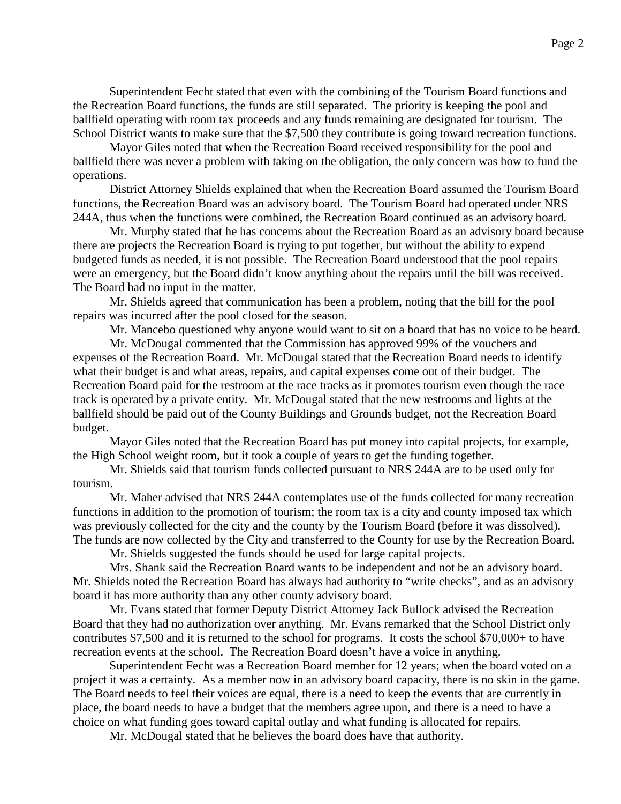Superintendent Fecht stated that even with the combining of the Tourism Board functions and the Recreation Board functions, the funds are still separated. The priority is keeping the pool and ballfield operating with room tax proceeds and any funds remaining are designated for tourism. The School District wants to make sure that the \$7,500 they contribute is going toward recreation functions.

Mayor Giles noted that when the Recreation Board received responsibility for the pool and ballfield there was never a problem with taking on the obligation, the only concern was how to fund the operations.

District Attorney Shields explained that when the Recreation Board assumed the Tourism Board functions, the Recreation Board was an advisory board. The Tourism Board had operated under NRS 244A, thus when the functions were combined, the Recreation Board continued as an advisory board.

Mr. Murphy stated that he has concerns about the Recreation Board as an advisory board because there are projects the Recreation Board is trying to put together, but without the ability to expend budgeted funds as needed, it is not possible. The Recreation Board understood that the pool repairs were an emergency, but the Board didn't know anything about the repairs until the bill was received. The Board had no input in the matter.

Mr. Shields agreed that communication has been a problem, noting that the bill for the pool repairs was incurred after the pool closed for the season.

Mr. Mancebo questioned why anyone would want to sit on a board that has no voice to be heard.

Mr. McDougal commented that the Commission has approved 99% of the vouchers and expenses of the Recreation Board. Mr. McDougal stated that the Recreation Board needs to identify what their budget is and what areas, repairs, and capital expenses come out of their budget. The Recreation Board paid for the restroom at the race tracks as it promotes tourism even though the race track is operated by a private entity. Mr. McDougal stated that the new restrooms and lights at the ballfield should be paid out of the County Buildings and Grounds budget, not the Recreation Board budget.

Mayor Giles noted that the Recreation Board has put money into capital projects, for example, the High School weight room, but it took a couple of years to get the funding together.

Mr. Shields said that tourism funds collected pursuant to NRS 244A are to be used only for tourism.

Mr. Maher advised that NRS 244A contemplates use of the funds collected for many recreation functions in addition to the promotion of tourism; the room tax is a city and county imposed tax which was previously collected for the city and the county by the Tourism Board (before it was dissolved). The funds are now collected by the City and transferred to the County for use by the Recreation Board.

Mr. Shields suggested the funds should be used for large capital projects.

Mrs. Shank said the Recreation Board wants to be independent and not be an advisory board. Mr. Shields noted the Recreation Board has always had authority to "write checks", and as an advisory board it has more authority than any other county advisory board.

Mr. Evans stated that former Deputy District Attorney Jack Bullock advised the Recreation Board that they had no authorization over anything. Mr. Evans remarked that the School District only contributes \$7,500 and it is returned to the school for programs. It costs the school \$70,000+ to have recreation events at the school. The Recreation Board doesn't have a voice in anything.

Superintendent Fecht was a Recreation Board member for 12 years; when the board voted on a project it was a certainty. As a member now in an advisory board capacity, there is no skin in the game. The Board needs to feel their voices are equal, there is a need to keep the events that are currently in place, the board needs to have a budget that the members agree upon, and there is a need to have a choice on what funding goes toward capital outlay and what funding is allocated for repairs.

Mr. McDougal stated that he believes the board does have that authority.